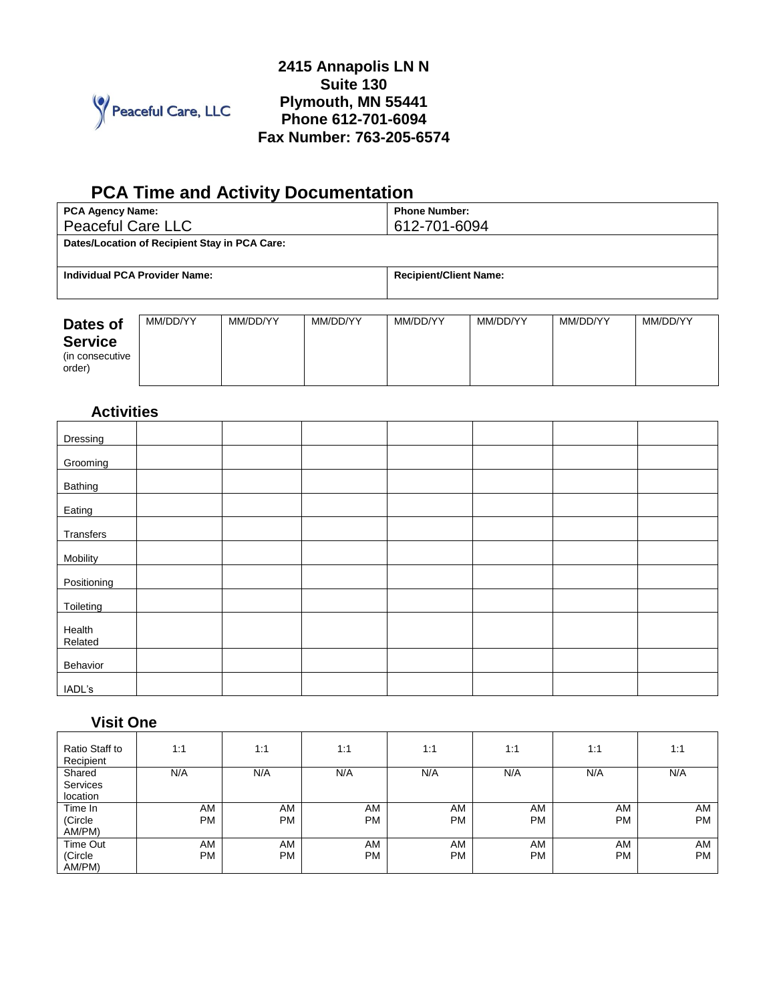

## **2415 Annapolis LN N Suite 130 Plymouth, MN 55441 Phone 612-701-6094 Fax Number: 763-205-6574**

# **PCA Time and Activity Documentation**

| <b>PCA Agency Name:</b><br><b>Peaceful Care LLC</b> | <b>Phone Number:</b><br>612-701-6094 |
|-----------------------------------------------------|--------------------------------------|
| Dates/Location of Recipient Stay in PCA Care:       |                                      |
| Individual PCA Provider Name:                       | <b>Recipient/Client Name:</b>        |
|                                                     |                                      |

| Dates of                                     | MM/DD/YY | MM/DD/YY | MM/DD/YY | MM/DD/YY | MM/DD/YY | MM/DD/YY | MM/DD/YY |
|----------------------------------------------|----------|----------|----------|----------|----------|----------|----------|
| <b>Service</b><br>(in consecutive)<br>order) |          |          |          |          |          |          |          |

# **Activities**

| Dressing          |  |  |  |  |
|-------------------|--|--|--|--|
| Grooming          |  |  |  |  |
| Bathing           |  |  |  |  |
|                   |  |  |  |  |
| Eating            |  |  |  |  |
| Transfers         |  |  |  |  |
| Mobility          |  |  |  |  |
| Positioning       |  |  |  |  |
| Toileting         |  |  |  |  |
| Health<br>Related |  |  |  |  |
|                   |  |  |  |  |
| Behavior          |  |  |  |  |
| IADL's            |  |  |  |  |

## **Visit One**

| Ratio Staff to<br>Recipient | 1:1       | 1:1       | 1:1       | 1:1       | 1:1       | 1:1       | 1:1       |
|-----------------------------|-----------|-----------|-----------|-----------|-----------|-----------|-----------|
| Shared                      | N/A       | N/A       | N/A       | N/A       | N/A       | N/A       | N/A       |
| Services                    |           |           |           |           |           |           |           |
| location                    |           |           |           |           |           |           |           |
| Time In                     | AM        | AM        | AM        | AM        | AM        | AM        | AM        |
| (Circle                     | <b>PM</b> | <b>PM</b> | <b>PM</b> | <b>PM</b> | <b>PM</b> | <b>PM</b> | <b>PM</b> |
| AM/PM)                      |           |           |           |           |           |           |           |
| Time Out                    | AM        | AM        | AM        | AM        | AM        | AM        | AM        |
| (Circle                     | <b>PM</b> | <b>PM</b> | <b>PM</b> | <b>PM</b> | <b>PM</b> | <b>PM</b> | <b>PM</b> |
| AM/PM)                      |           |           |           |           |           |           |           |